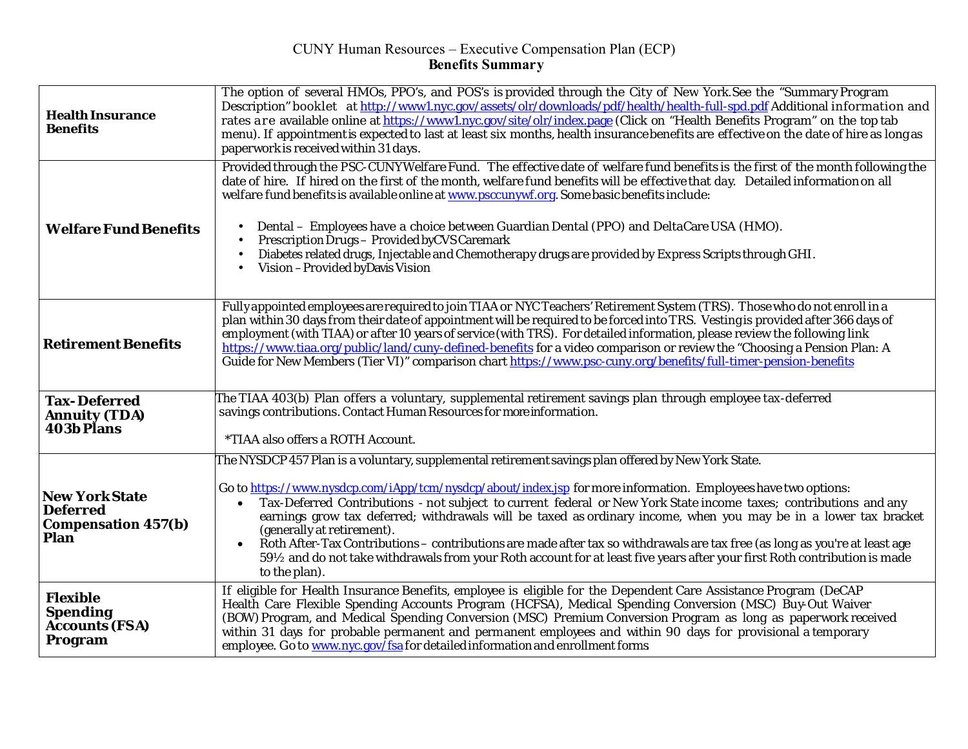## CUNY Human Resources – Executive Compensation Plan (ECP) **Benefits Summary**

| <b>Health Insurance</b><br><b>Benefits</b>                                     | The option of several HMOs, PPO's, and POS's is provided through the City of New York.See the "Summary Program<br>Description" booklet at http://www1.nyc.gov/assets/olr/downloads/pdf/health/health-full-spd.pdf Additional information and<br>rates are available online at https://www1.nyc.gov/site/olr/index.page (Click on "Health Benefits Program" on the top tab<br>menu). If appointment is expected to last at least six months, health insurance benefits are effective on the date of hire as long as<br>paperwork is received within 31 days.                                                                                                                                                                                                                            |
|--------------------------------------------------------------------------------|----------------------------------------------------------------------------------------------------------------------------------------------------------------------------------------------------------------------------------------------------------------------------------------------------------------------------------------------------------------------------------------------------------------------------------------------------------------------------------------------------------------------------------------------------------------------------------------------------------------------------------------------------------------------------------------------------------------------------------------------------------------------------------------|
| <b>Welfare Fund Benefits</b>                                                   | Provided through the PSC-CUNYWelfare Fund. The effective date of welfare fund benefits is the first of the month following the<br>date of hire. If hired on the first of the month, welfare fund benefits will be effective that day. Detailed information on all<br>welfare fund benefits is available online at www.psccunywf.org. Some basic benefits include:<br>Dental – Employees have a choice between Guardian Dental (PPO) and DeltaCare USA (HMO).<br>Prescription Drugs - Provided by CVS Caremark<br>Diabetes related drugs, Injectable and Chemotherapy drugs are provided by Express Scripts through GHI.<br>Vision-Provided by Davis Vision                                                                                                                             |
| <b>Retirement Benefits</b>                                                     | Fully appointed employees are required to join TIAA or NYC Teachers' Retirement System (TRS). Those who do not enroll in a<br>plan within 30 days from their date of appointment will be required to be forced into TRS. Vesting is provided after 366 days of<br>employment (with TIAA) or after 10 years of service (with TRS). For detailed information, please review the following link<br>https://www.tiaa.org/public/land/cuny-defined-benefits for a video comparison or review the "Choosing a Pension Plan: A<br>Guide for New Members (Tier VI)" comparison chart https://www.psc-cuny.org/benefits/full-timer-pension-benefits                                                                                                                                             |
| <b>Tax-Deferred</b><br><b>Annuity (TDA)</b><br><b>403b Plans</b>               | The TIAA 403(b) Plan offers a voluntary, supplemental retirement savings plan through employee tax-deferred<br>savings contributions. Contact Human Resources for more information.<br>*TIAA also offers a ROTH Account.                                                                                                                                                                                                                                                                                                                                                                                                                                                                                                                                                               |
| <b>New York State</b><br><b>Deferred</b><br><b>Compensation 457(b)</b><br>Plan | The NYSDCP 457 Plan is a voluntary, supplemental retirement savings plan offered by New York State.<br>Go to https://www.nysdcp.com/iApp/tcm/nysdcp/about/index.jsp for more information. Employees have two options:<br>Tax-Deferred Contributions - not subject to current federal or New York State income taxes; contributions and any<br>$\bullet$<br>earnings grow tax deferred; withdrawals will be taxed as ordinary income, when you may be in a lower tax bracket<br>(generally at retirement).<br>Roth After-Tax Contributions – contributions are made after tax so withdrawals are tax free (as long as you're at least age<br>59½ and do not take withdrawals from your Roth account for at least five years after your first Roth contribution is made<br>to the plan). |
| <b>Flexible</b><br><b>Spending</b><br><b>Accounts (FSA)</b><br>Program         | If eligible for Health Insurance Benefits, employee is eligible for the Dependent Care Assistance Program (DeCAP<br>Health Care Flexible Spending Accounts Program (HCFSA), Medical Spending Conversion (MSC) Buy-Out Waiver<br>(BOW) Program, and Medical Spending Conversion (MSC) Premium Conversion Program as long as paperwork received<br>within 31 days for probable permanent and permanent employees and within 90 days for provisional a temporary<br>employee. Go to www.nyc.gov/fsa for detailed information and enrollment forms                                                                                                                                                                                                                                         |